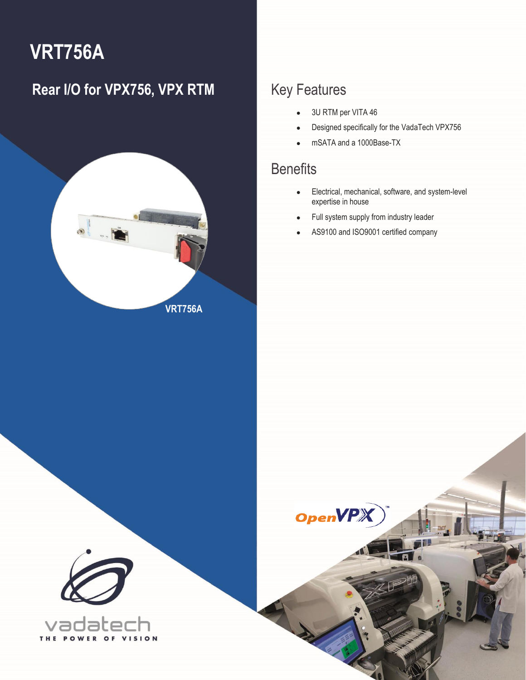# **VRT756A**

### **Rear I/O for VPX756, VPX RTM** Key Features



- 3U RTM per VITA 46
- Designed specifically for the VadaTech VPX756
- mSATA and a 1000Base-TX

### **Benefits**

1 VRT756A – Rear I/O for VPX756, VPX RTM **[info@vadatech.com](mailto:info@vadatech.com) [| www.vadatech.com](www.vadatech.com)**

**OpenVP** 

- Electrical, mechanical, software, and system-level expertise in house
- Full system supply from industry leader
- AS9100 and ISO9001 certified company



T H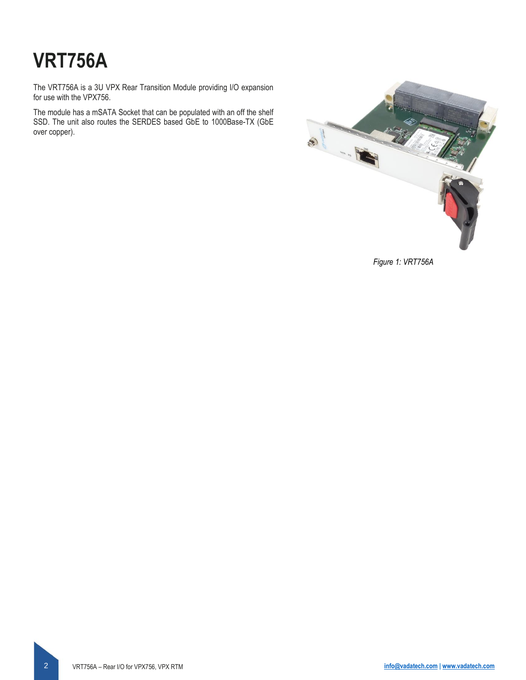# **VRT756A**

The VRT756A is a 3U VPX Rear Transition Module providing I/O expansion for use with the VPX756.

The module has a mSATA Socket that can be populated with an off the shelf SSD. The unit also routes the SERDES based GbE to 1000Base-TX (GbE over copper).



*Figure 1: VRT756A*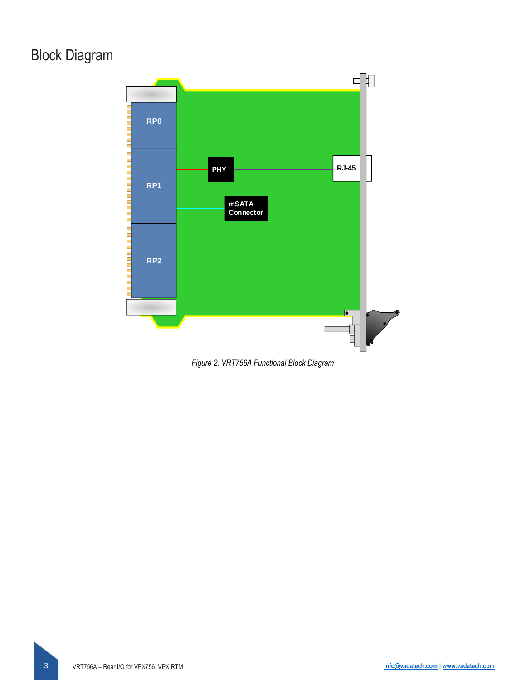### Block Diagram



*Figure 2: VRT756A Functional Block Diagram*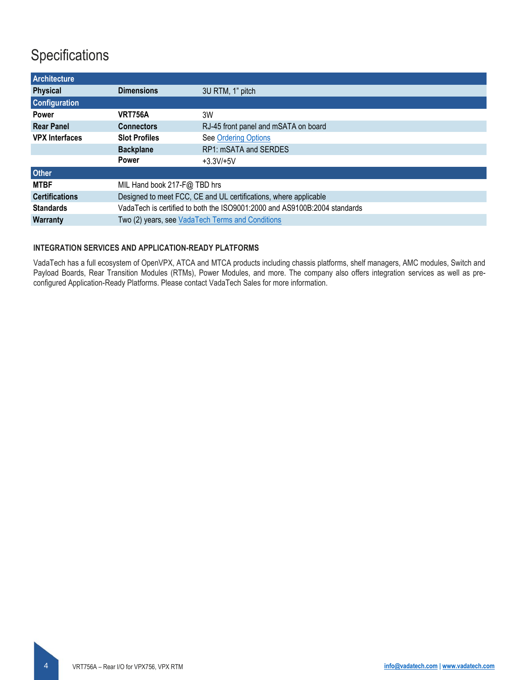### **Specifications**

| <b>Architecture</b>   |                                                                           |                                      |  |  |  |
|-----------------------|---------------------------------------------------------------------------|--------------------------------------|--|--|--|
| <b>Physical</b>       | <b>Dimensions</b>                                                         | 3U RTM, 1" pitch                     |  |  |  |
| <b>Configuration</b>  |                                                                           |                                      |  |  |  |
| <b>Power</b>          | <b>VRT756A</b>                                                            | 3W                                   |  |  |  |
| <b>Rear Panel</b>     | <b>Connectors</b>                                                         | RJ-45 front panel and mSATA on board |  |  |  |
| <b>VPX Interfaces</b> | <b>Slot Profiles</b>                                                      | <b>See Ordering Options</b>          |  |  |  |
|                       | <b>Backplane</b>                                                          | RP1: mSATA and SERDES                |  |  |  |
|                       | <b>Power</b>                                                              | $+3.3V/+5V$                          |  |  |  |
| <b>Other</b>          |                                                                           |                                      |  |  |  |
| <b>MTBF</b>           | MIL Hand book 217-F@ TBD hrs                                              |                                      |  |  |  |
| <b>Certifications</b> | Designed to meet FCC, CE and UL certifications, where applicable          |                                      |  |  |  |
| <b>Standards</b>      | VadaTech is certified to both the ISO9001:2000 and AS9100B:2004 standards |                                      |  |  |  |
| <b>Warranty</b>       | Two (2) years, see VadaTech Terms and Conditions                          |                                      |  |  |  |

#### **INTEGRATION SERVICES AND APPLICATION-READY PLATFORMS**

VadaTech has a full ecosystem of OpenVPX, ATCA and MTCA products including chassis platforms, shelf managers, AMC modules, Switch and Payload Boards, Rear Transition Modules (RTMs), Power Modules, and more. The company also offers integration services as well as preconfigured Application-Ready Platforms. Please contact VadaTech Sales for more information.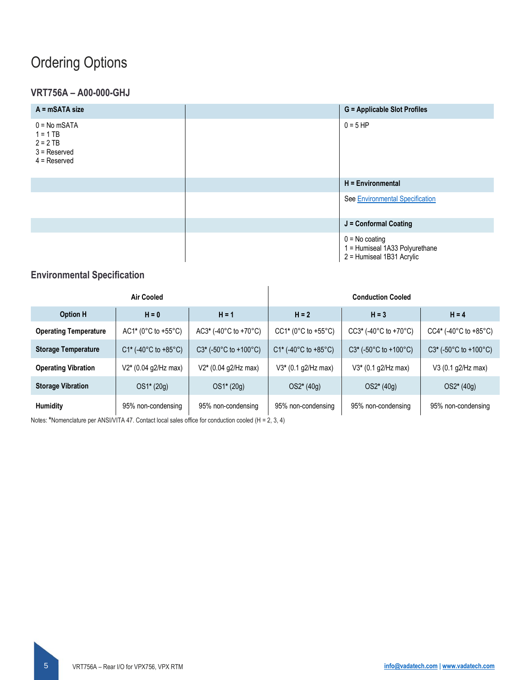### <span id="page-4-0"></span>Ordering Options

### **VRT756A – A00-000-GHJ**

| $A = mSATA size$                                                               | <b>G</b> = Applicable Slot Profiles                                             |
|--------------------------------------------------------------------------------|---------------------------------------------------------------------------------|
| $0 = No mSATA$<br>$1 = 1$ TB<br>$2 = 2$ TB<br>$3 =$ Reserved<br>$4 =$ Reserved | $0 = 5 H$ P                                                                     |
|                                                                                | H = Environmental                                                               |
|                                                                                | See Environmental Specification                                                 |
|                                                                                | J = Conformal Coating                                                           |
|                                                                                | $0 = No$ coating<br>1 = Humiseal 1A33 Polyurethane<br>2 = Humiseal 1B31 Acrylic |

#### <span id="page-4-1"></span>**Environmental Specification**

| Air Cooled                   |                        |                                             | <b>Conduction Cooled</b> |                                |                                |
|------------------------------|------------------------|---------------------------------------------|--------------------------|--------------------------------|--------------------------------|
| <b>Option H</b>              | $H = 0$                | $H = 1$                                     | $H = 2$                  | $H = 3$                        | $H = 4$                        |
| <b>Operating Temperature</b> | $AC1* (0°C to +55°C)$  | $AC3*$ (-40°C to +70°C)                     | $CC1* (0°C to +55°C)$    | $CC3*$ (-40 $°C$ to +70 $°C$ ) | $CC4*$ (-40 $°C$ to +85 $°C$ ) |
| <b>Storage Temperature</b>   | $C1*$ (-40°C to +85°C) | $C3*$ (-50 $\degree$ C to +100 $\degree$ C) | $C1*$ (-40°C to +85°C)   | $C3*$ (-50°C to +100°C)        | $C3*$ (-50°C to +100°C)        |
| <b>Operating Vibration</b>   | $V2*$ (0.04 g2/Hz max) | $V2*(0.04 g2/Hz max)$                       | $V3*$ (0.1 g2/Hz max)    | $V3*$ (0.1 g2/Hz max)          | V3 (0.1 g2/Hz max)             |
| <b>Storage Vibration</b>     | $OS1*(20g)$            | OS1* (20g)                                  | OS2* (40g)               | OS2* (40g)                     | OS2* (40g)                     |
| Humidity                     | 95% non-condensing     | 95% non-condensing                          | 95% non-condensing       | 95% non-condensing             | 95% non-condensing             |

Notes: \*Nomenclature per ANSI/VITA 47. Contact local sales office for conduction cooled (H = 2, 3, 4)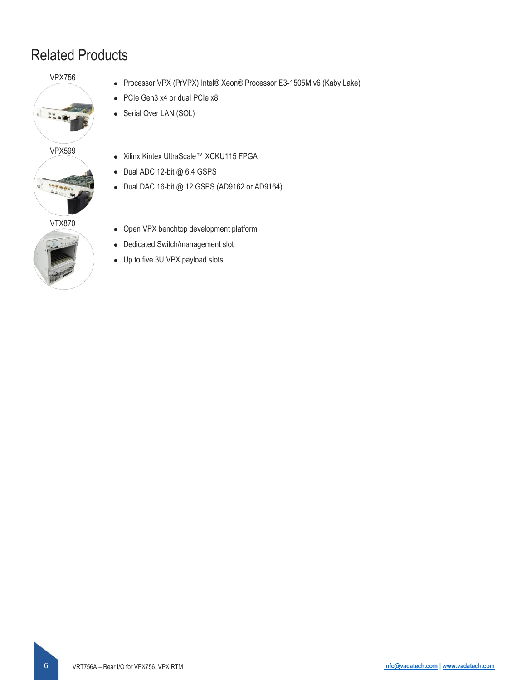### Related Products

#### VPX756

 $\frac{3}{4}$ 







- Processor VPX (PrVPX) Intel® Xeon® Processor E3-1505M v6 (Kaby Lake)
- PCIe Gen3 x4 or dual PCIe x8
- Serial Over LAN (SOL)
- Xilinx Kintex UltraScale™ XCKU115 FPGA
- Dual ADC 12-bit @ 6.4 GSPS
- Dual DAC 16-bit @ 12 GSPS (AD9162 or AD9164)
- Open VPX benchtop development platform
- Dedicated Switch/management slot
- Up to five 3U VPX payload slots